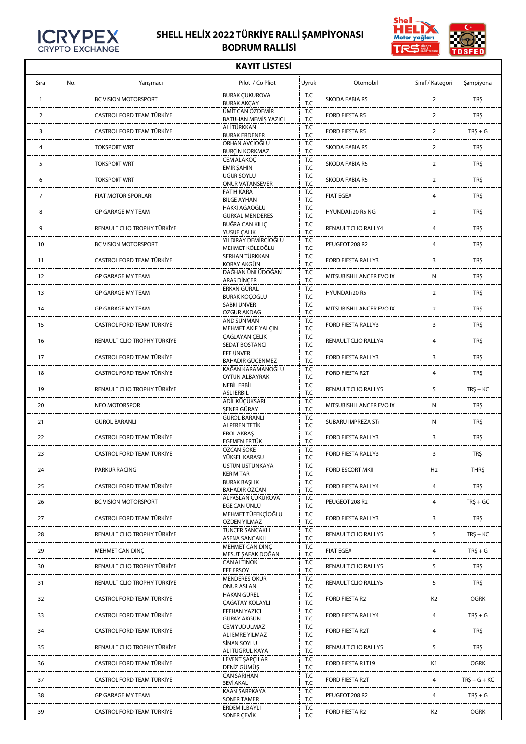

r

## **SHELL HELİX 2022 TÜRKİYE RALLİ ŞAMPİYONASI BODRUM RALLİSİ**



| <b>KAYIT LISTESI</b> |     |                             |                                              |            |                          |                  |                |  |  |  |  |
|----------------------|-----|-----------------------------|----------------------------------------------|------------|--------------------------|------------------|----------------|--|--|--|--|
| Sıra                 | No. | Yarışmacı                   | Pilot / Co Pliot                             | Uyruk:     | Otomobil                 | Sınıf / Kategori | Şampiyona      |  |  |  |  |
| $\mathbf{1}$         |     | BC VISION MOTORSPORT        | <b>BURAK ÇUKUROVA</b><br><b>BURAK AKÇAY</b>  | T.C<br>T.C | <b>SKODA FABIA R5</b>    | $\overline{2}$   | <b>TRŞ</b>     |  |  |  |  |
| $\overline{2}$       |     | CASTROL FORD TEAM TÜRKİYE   | ÜMİT CAN ÖZDEMİR<br>BATUHAN MEMİŞ YAZICI     | T.C<br>T.C | FORD FIESTA R5           | $\overline{2}$   | <b>TRŞ</b>     |  |  |  |  |
| 3                    |     | CASTROL FORD TEAM TÜRKİYE   | ALİ TÜRKKAN<br><b>BURAK ERDENER</b>          | T.C<br>T.C | <b>FORD FIESTA R5</b>    | $\overline{2}$   | $TRS + G$      |  |  |  |  |
| 4                    |     | <b>TOKSPORT WRT</b>         | ORHAN AVCIOĞLU<br><b>BURCÍN KORKMAZ</b>      | T.C<br>T.C | SKODA FABIA R5           | $\overline{2}$   | <b>TRŞ</b>     |  |  |  |  |
| 5                    |     | <b>TOKSPORT WRT</b>         | CEM ALAKOÇ<br>EMİR ŞAHİN                     | T.C<br>T.C | <b>SKODA FABIA R5</b>    | $\overline{2}$   | <b>TRŞ</b>     |  |  |  |  |
| 6                    |     | <b>TOKSPORT WRT</b>         | UĞUR SOYLU<br><b>ONUR VATANSEVER</b>         | T.C<br>T.C | SKODA FABIA R5           | $\overline{2}$   | <b>TRŞ</b>     |  |  |  |  |
| $\overline{7}$       |     | FIAT MOTOR SPORLARI         | <b>FATİH KARA</b><br><b>BİLGE AYHAN</b>      | T.C<br>T.C | <b>FIAT EGEA</b>         | $\overline{4}$   | <b>TRŞ</b>     |  |  |  |  |
| 8                    |     | <b>GP GARAGE MY TEAM</b>    | HAKKI AĞAOĞLU<br>GÜRKAL MENDERES             | T.C<br>T.C | HYUNDAI i20 R5 NG        | $\overline{2}$   | <b>TRŞ</b>     |  |  |  |  |
| 9                    |     | RENAULT CLIO TROPHY TÜRKİYE | BUĞRA CAN KILIÇ<br>YUSUF ÇALIK               | T.C<br>T.C | RENAULT CLIO RALLY4      | $\overline{4}$   | <b>TRŞ</b>     |  |  |  |  |
| 10                   |     | BC VISION MOTORSPORT        | YILDIRAY DEMİRCİOĞLU<br>MEHMET KÖLEOĞLU      | T.C<br>T.C | PEUGEOT 208 R2           | 4                | <b>TRŞ</b>     |  |  |  |  |
| 11                   |     | CASTROL FORD TEAM TÜRKİYE   | SERHAN TÜRKKAN<br>KORAY AKGÜN                | T.C<br>T.C | FORD FIESTA RALLY3       | 3                | <b>TRŞ</b>     |  |  |  |  |
| 12                   |     | <b>GP GARAGE MY TEAM</b>    | DAĞHAN ÜNLÜDOĞAN<br>ARAS DİNÇER              | T.C<br>T.C | MITSUBISHI LANCER EVO IX | N                | <b>TRŞ</b>     |  |  |  |  |
| 13                   |     | <b>GP GARAGE MY TEAM</b>    | ERKAN GÜRAL<br><b>BURAK KOCOĞLU</b>          | T.C<br>T.C | HYUNDAI i20 R5           | $\overline{2}$   | <b>TRŞ</b>     |  |  |  |  |
| 14                   |     | <b>GP GARAGE MY TEAM</b>    | SABRİ ÜNVER<br>ÖZGÜR AKDAĞ                   | T.C<br>T.C | MITSUBISHI LANCER EVO IX | $\overline{2}$   | <b>TRŞ</b>     |  |  |  |  |
| 15                   |     | CASTROL FORD TEAM TÜRKİYE   | <b>AND SUNMAN</b><br>MEHMET AKİF YALÇIN      | T.C<br>T.C | FORD FIESTA RALLY3       | 3                | <b>TRŞ</b>     |  |  |  |  |
| 16                   |     | RENAULT CLIO TROPHY TÜRKİYE | ÇAĞLAYAN ÇELİK<br>SEDAT BOSTANCI             | T.C<br>T.C | RENAULT CLIO RALLY4      | 4                | <b>TRŞ</b>     |  |  |  |  |
| 17                   |     | CASTROL FORD TEAM TÜRKİYE   | EFE ÜNVER<br><b>BAHADIR GÜCENMEZ</b>         | T.C<br>T.C | FORD FIESTA RALLY3       | 3                | <b>TRŞ</b>     |  |  |  |  |
| 18                   |     | CASTROL FORD TEAM TÜRKİYE   | KAĞAN KARAMANOĞLU<br>OYTUN ALBAYRAK          | T.C<br>T.C | FORD FIESTA R2T          | 4                | <b>TRŞ</b>     |  |  |  |  |
| 19                   |     | RENAULT CLIO TROPHY TÜRKİYE | NEBİL ERBİL<br><b>ASLI ERBİL</b>             | T.C<br>T.C | RENAULT CLIO RALLY5      | 5                | $TRS + KC$     |  |  |  |  |
| 20                   |     | NEO MOTORSPOR               | ADİL KÜÇÜKSARI<br><b>ŞENER GÜRAY</b>         | T.C<br>T.C | MITSUBISHI LANCER EVO IX | N                | <b>TRŞ</b>     |  |  |  |  |
| 21                   |     | <b>GÜROL BARANLI</b>        | <b>GÜROL BARANLI</b><br><b>ALPEREN TETİK</b> | T.C<br>T.C | SUBARU IMPREZA STI       | N                | <b>TRŞ</b>     |  |  |  |  |
| 22                   |     | CASTROL FORD TEAM TÜRKİYE   | <b>EROL AKBAŞ</b><br>EGEMEN ERTÜK            | T.C<br>T.C | FORD FIESTA RALLY3       | 3                | <b>TRŞ</b>     |  |  |  |  |
| 23                   |     | CASTROL FORD TEAM TÜRKİYE   | ÖZCAN SÖKE<br>YÜKSEL KARASU                  | T.C<br>T.C | FORD FIESTA RALLY3       | 3                | TRŞ            |  |  |  |  |
| 24                   |     | PARKUR RACING               | ÜSTÜN ÜSTÜNKAYA<br><b>KERİM TAR</b>          | T.C<br>T.C | <b>FORD ESCORT MKII</b>  | H2               | <b>THRŞ</b>    |  |  |  |  |
| 25                   |     | CASTROL FORD TEAM TÜRKİYE   | <b>BURAK BASLIK</b><br><b>BAHADIR ÖZCAN</b>  | T.C<br>T.C | FORD FIESTA RALLY4       | 4                | <b>TRŞ</b>     |  |  |  |  |
| 26                   |     | BC VISION MOTORSPORT        | ALPASLAN ÇUKUROVA<br>EGE CAN ÜNLÜ            | T.C<br>T.C | PEUGEOT 208 R2           | 4                | $TRS + GC$     |  |  |  |  |
| 27                   |     | CASTROL FORD TEAM TÜRKİYE   | MEHMET TÜFEKÇİOĞLU<br>ÖZDEN YILMAZ           | T.C<br>T.C | FORD FIESTA RALLY3       | 3                | <b>TRŞ</b>     |  |  |  |  |
| 28                   |     | RENAULT CLIO TROPHY TÜRKİYE | <b>TUNCER SANCAKLI</b><br>ASENA SANCAKLI     | T.C<br>T.C | RENAULT CLIO RALLY5      | 5                | $TRS + KC$     |  |  |  |  |
| 29                   |     | MEHMET CAN DINÇ             | MEHMET CAN DİNC<br>MESUT ŞAFAK DOĞAN         | T.C<br>T.C | <b>FIAT EGEA</b>         | 4                | $TRS + G$      |  |  |  |  |
| 30                   |     | RENAULT CLIO TROPHY TÜRKİYE | <b>CAN ALTINOK</b><br>EFE ERSOY              | T.C<br>T.C | RENAULT CLIO RALLY5      | 5                | <b>TRŞ</b>     |  |  |  |  |
| 31                   |     | RENAULT CLIO TROPHY TÜRKİYE | <b>MENDERES OKUR</b><br>ONUR ASLAN           | T.C<br>T.C | RENAULT CLIO RALLY5      | 5                | <b>TRŞ</b>     |  |  |  |  |
| 32                   |     | CASTROL FORD TEAM TÜRKİYE   | HAKAN GÜREL<br>ÇAĞATAY KOLAYLI               | T.C<br>T.C | FORD FIESTA R2           | K2               | <b>OGRK</b>    |  |  |  |  |
| 33                   |     | CASTROL FORD TEAM TÜRKİYE   | EFEHAN YAZICI<br>GÜRAY AKGÜN                 | T.C<br>T.C | FORD FIESTA RALLY4       | 4                | $TRS + G$      |  |  |  |  |
| 34                   |     | CASTROL FORD TEAM TÜRKİYE   | <b>CEM YUDULMAZ</b><br>ALİ EMRE YILMAZ       | T.C<br>T.C | FORD FIESTA R2T          | 4                | TRŞ            |  |  |  |  |
| 35                   |     | RENAULT CLIO TROPHY TÜRKİYE | SİNAN SOYLU<br>ALİ TUĞRUL KAYA               | T.C<br>T.C | RENAULT CLIO RALLY5      | 5                | <b>TRŞ</b>     |  |  |  |  |
| 36                   |     | CASTROL FORD TEAM TÜRKİYE   | LEVENT ŞAPÇILAR<br>DENIZ GÜMÜŞ               | T.C<br>T.C | FORD FIESTA R1T19        | K1               | <b>OGRK</b>    |  |  |  |  |
| 37                   |     | CASTROL FORD TEAM TÜRKİYE   | <b>CAN SARIHAN</b><br>SEVİ AKAL              | T.C<br>T.C | FORD FIESTA R2T          | 4                | $TR5 + G + KC$ |  |  |  |  |
| 38                   |     | GP GARAGE MY TEAM           | <b>KAAN SARPKAYA</b><br><b>SONER TAMER</b>   | T.C<br>T.C | PEUGEOT 208 R2           | 4                | $TRS + G$      |  |  |  |  |
| 39                   |     | CASTROL FORD TEAM TÜRKİYE   | ERDEM İLBAYLI<br>SONER ÇEVİK                 | T.C<br>T.C | FORD FIESTA R2           | K <sub>2</sub>   | <b>OGRK</b>    |  |  |  |  |